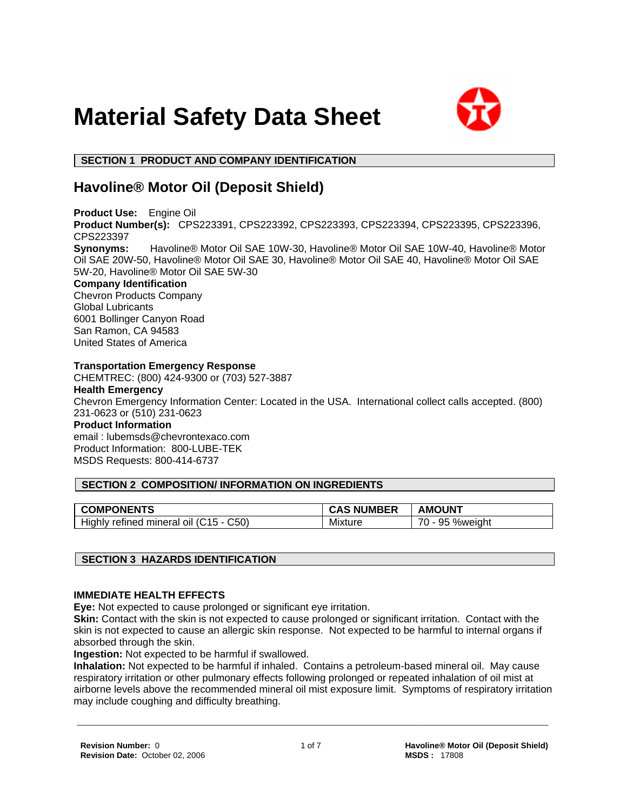



 **SECTION 1 PRODUCT AND COMPANY IDENTIFICATION**

# **Havoline® Motor Oil (Deposit Shield)**

**Product Use:** Engine Oil **Product Number(s):** CPS223391, CPS223392, CPS223393, CPS223394, CPS223395, CPS223396, CPS223397 **Synonyms:** Havoline® Motor Oil SAE 10W-30, Havoline® Motor Oil SAE 10W-40, Havoline® Motor Oil SAE 20W-50, Havoline® Motor Oil SAE 30, Havoline® Motor Oil SAE 40, Havoline® Motor Oil SAE 5W-20, Havoline® Motor Oil SAE 5W-30 **Company Identification** Chevron Products Company

Global Lubricants 6001 Bollinger Canyon Road San Ramon, CA 94583 United States of America

# **Transportation Emergency Response**

CHEMTREC: (800) 424-9300 or (703) 527-3887 **Health Emergency**

Chevron Emergency Information Center: Located in the USA. International collect calls accepted. (800) 231-0623 or (510) 231-0623

**Product Information**

email : lubemsds@chevrontexaco.com Product Information: 800-LUBE-TEK MSDS Requests: 800-414-6737

# **SECTION 2 COMPOSITION/ INFORMATION ON INGREDIENTS**

| <b>COMPONENTS</b>                          | <b>CAS NUMBER</b> | <b>AMOUNT</b>                             |
|--------------------------------------------|-------------------|-------------------------------------------|
| C50<br>Highly refined mineral oil (C15 - 0 | Mixture           | $\overline{\phantom{a}}$<br>95<br>%weiaht |

# **SECTION 3 HAZARDS IDENTIFICATION**

# **IMMEDIATE HEALTH EFFECTS**

**Eye:** Not expected to cause prolonged or significant eye irritation.

**Skin:** Contact with the skin is not expected to cause prolonged or significant irritation. Contact with the skin is not expected to cause an allergic skin response. Not expected to be harmful to internal organs if absorbed through the skin.

**Ingestion:** Not expected to be harmful if swallowed.

**Inhalation:** Not expected to be harmful if inhaled. Contains a petroleum-based mineral oil. May cause respiratory irritation or other pulmonary effects following prolonged or repeated inhalation of oil mist at airborne levels above the recommended mineral oil mist exposure limit. Symptoms of respiratory irritation may include coughing and difficulty breathing.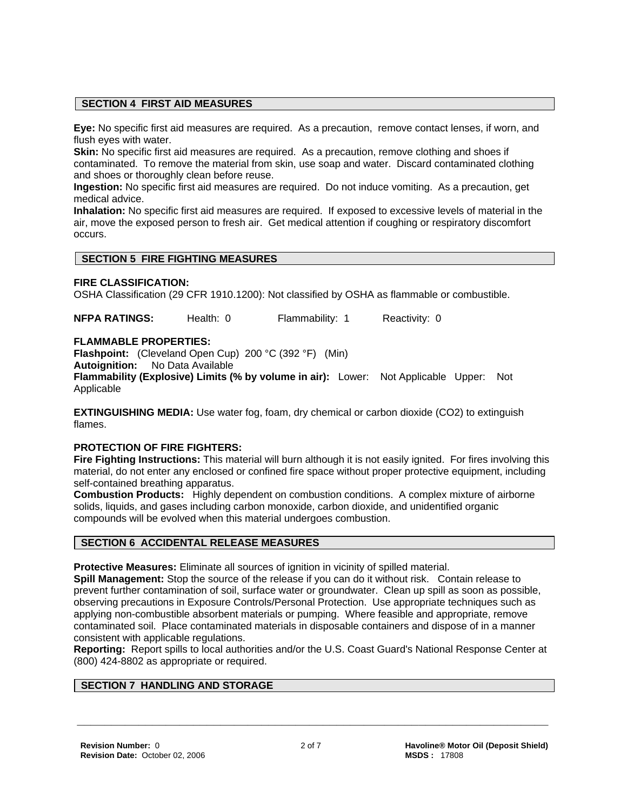# **SECTION 4 FIRST AID MEASURES**

**Eye:** No specific first aid measures are required. As a precaution, remove contact lenses, if worn, and flush eyes with water.

**Skin:** No specific first aid measures are required. As a precaution, remove clothing and shoes if contaminated. To remove the material from skin, use soap and water. Discard contaminated clothing and shoes or thoroughly clean before reuse.

**Ingestion:** No specific first aid measures are required. Do not induce vomiting. As a precaution, get medical advice.

**Inhalation:** No specific first aid measures are required. If exposed to excessive levels of material in the air, move the exposed person to fresh air. Get medical attention if coughing or respiratory discomfort occurs.

# **SECTION 5 FIRE FIGHTING MEASURES**

#### **FIRE CLASSIFICATION:**

OSHA Classification (29 CFR 1910.1200): Not classified by OSHA as flammable or combustible.

**NFPA RATINGS:** Health: 0 Flammability: 1 Reactivity: 0

#### **FLAMMABLE PROPERTIES:**

**Flashpoint:** (Cleveland Open Cup) 200 °C (392 °F) (Min)

**Autoignition:** No Data Available

**Flammability (Explosive) Limits (% by volume in air):** Lower: Not Applicable Upper: Not Applicable

**EXTINGUISHING MEDIA:** Use water fog, foam, dry chemical or carbon dioxide (CO2) to extinguish flames.

# **PROTECTION OF FIRE FIGHTERS:**

**Fire Fighting Instructions:** This material will burn although it is not easily ignited. For fires involving this material, do not enter any enclosed or confined fire space without proper protective equipment, including self-contained breathing apparatus.

**Combustion Products:** Highly dependent on combustion conditions. A complex mixture of airborne solids, liquids, and gases including carbon monoxide, carbon dioxide, and unidentified organic compounds will be evolved when this material undergoes combustion.

# **SECTION 6 ACCIDENTAL RELEASE MEASURES**

**Protective Measures:** Eliminate all sources of ignition in vicinity of spilled material.

**Spill Management:** Stop the source of the release if you can do it without risk. Contain release to prevent further contamination of soil, surface water or groundwater. Clean up spill as soon as possible, observing precautions in Exposure Controls/Personal Protection. Use appropriate techniques such as applying non-combustible absorbent materials or pumping. Where feasible and appropriate, remove contaminated soil. Place contaminated materials in disposable containers and dispose of in a manner consistent with applicable regulations.

**Reporting:** Report spills to local authorities and/or the U.S. Coast Guard's National Response Center at (800) 424-8802 as appropriate or required.

# **SECTION 7 HANDLING AND STORAGE**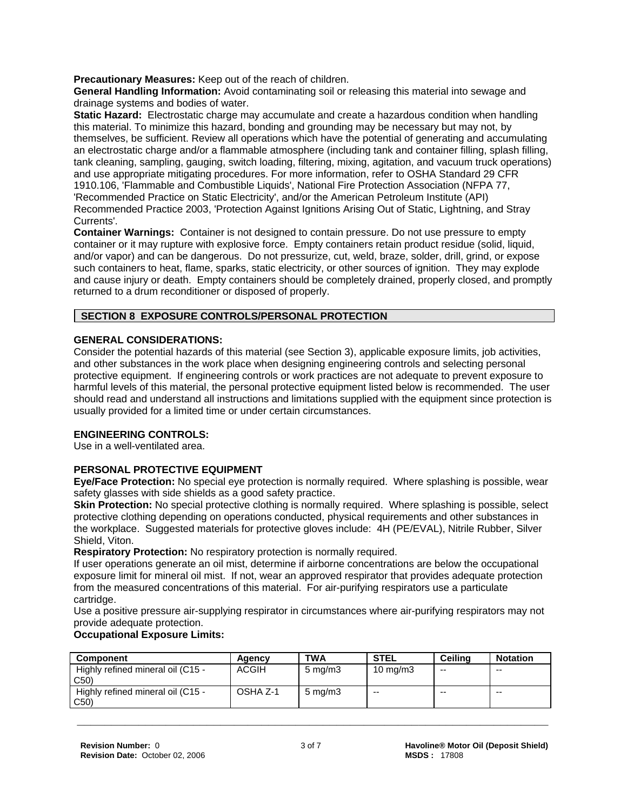**Precautionary Measures:** Keep out of the reach of children.

**General Handling Information:** Avoid contaminating soil or releasing this material into sewage and drainage systems and bodies of water.

**Static Hazard:** Electrostatic charge may accumulate and create a hazardous condition when handling this material. To minimize this hazard, bonding and grounding may be necessary but may not, by themselves, be sufficient. Review all operations which have the potential of generating and accumulating an electrostatic charge and/or a flammable atmosphere (including tank and container filling, splash filling, tank cleaning, sampling, gauging, switch loading, filtering, mixing, agitation, and vacuum truck operations) and use appropriate mitigating procedures. For more information, refer to OSHA Standard 29 CFR 1910.106, 'Flammable and Combustible Liquids', National Fire Protection Association (NFPA 77, 'Recommended Practice on Static Electricity', and/or the American Petroleum Institute (API) Recommended Practice 2003, 'Protection Against Ignitions Arising Out of Static, Lightning, and Stray Currents'.

**Container Warnings:** Container is not designed to contain pressure. Do not use pressure to empty container or it may rupture with explosive force. Empty containers retain product residue (solid, liquid, and/or vapor) and can be dangerous. Do not pressurize, cut, weld, braze, solder, drill, grind, or expose such containers to heat, flame, sparks, static electricity, or other sources of ignition. They may explode and cause injury or death. Empty containers should be completely drained, properly closed, and promptly returned to a drum reconditioner or disposed of properly.

# **SECTION 8 EXPOSURE CONTROLS/PERSONAL PROTECTION**

# **GENERAL CONSIDERATIONS:**

Consider the potential hazards of this material (see Section 3), applicable exposure limits, job activities, and other substances in the work place when designing engineering controls and selecting personal protective equipment. If engineering controls or work practices are not adequate to prevent exposure to harmful levels of this material, the personal protective equipment listed below is recommended. The user should read and understand all instructions and limitations supplied with the equipment since protection is usually provided for a limited time or under certain circumstances.

# **ENGINEERING CONTROLS:**

Use in a well-ventilated area.

# **PERSONAL PROTECTIVE EQUIPMENT**

**Eye/Face Protection:** No special eye protection is normally required. Where splashing is possible, wear safety glasses with side shields as a good safety practice.

**Skin Protection:** No special protective clothing is normally required. Where splashing is possible, select protective clothing depending on operations conducted, physical requirements and other substances in the workplace. Suggested materials for protective gloves include: 4H (PE/EVAL), Nitrile Rubber, Silver Shield, Viton.

**Respiratory Protection:** No respiratory protection is normally required.

If user operations generate an oil mist, determine if airborne concentrations are below the occupational exposure limit for mineral oil mist. If not, wear an approved respirator that provides adequate protection from the measured concentrations of this material. For air-purifying respirators use a particulate cartridge.

Use a positive pressure air-supplying respirator in circumstances where air-purifying respirators may not provide adequate protection.

# **Occupational Exposure Limits:**

| <b>Component</b>                         | Agency       | <b>TWA</b>       | <b>STEL</b>       | Ceilina | <b>Notation</b> |
|------------------------------------------|--------------|------------------|-------------------|---------|-----------------|
| Highly refined mineral oil (C15 -<br>C50 | <b>ACGIH</b> | $5 \text{ mg/m}$ | $10 \text{ mg/m}$ | $-$     | $-$             |
| Highly refined mineral oil (C15 -<br>C50 | OSHA Z-1     | $5 \text{ mg/m}$ | $- -$             | $-$     | $- -$           |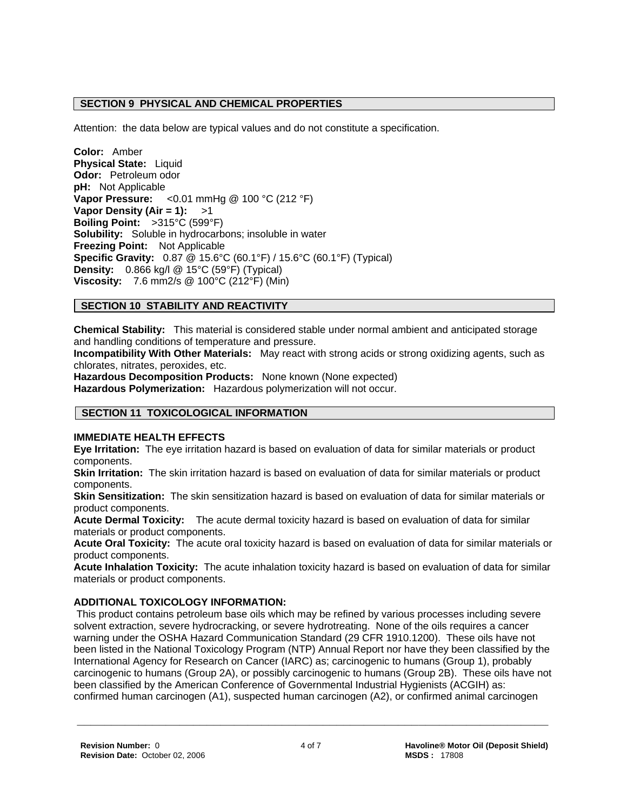# **SECTION 9 PHYSICAL AND CHEMICAL PROPERTIES**

Attention: the data below are typical values and do not constitute a specification.

**Color:** Amber **Physical State:** Liquid **Odor:** Petroleum odor **pH:** Not Applicable **Vapor Pressure:** <0.01 mmHg @ 100 °C (212 °F) **Vapor Density (Air = 1):** >1 **Boiling Point:** >315°C (599°F) **Solubility:** Soluble in hydrocarbons; insoluble in water **Freezing Point:** Not Applicable **Specific Gravity:** 0.87 @ 15.6°C (60.1°F) / 15.6°C (60.1°F) (Typical) **Density:** 0.866 kg/l @ 15°C (59°F) (Typical) **Viscosity:** 7.6 mm2/s @ 100°C (212°F) (Min)

# **SECTION 10 STABILITY AND REACTIVITY**

**Chemical Stability:** This material is considered stable under normal ambient and anticipated storage and handling conditions of temperature and pressure.

**Incompatibility With Other Materials:** May react with strong acids or strong oxidizing agents, such as chlorates, nitrates, peroxides, etc.

**Hazardous Decomposition Products:** None known (None expected) **Hazardous Polymerization:** Hazardous polymerization will not occur.

# **SECTION 11 TOXICOLOGICAL INFORMATION**

# **IMMEDIATE HEALTH EFFECTS**

**Eye Irritation:** The eye irritation hazard is based on evaluation of data for similar materials or product components.

**Skin Irritation:** The skin irritation hazard is based on evaluation of data for similar materials or product components.

**Skin Sensitization:** The skin sensitization hazard is based on evaluation of data for similar materials or product components.

**Acute Dermal Toxicity:** The acute dermal toxicity hazard is based on evaluation of data for similar materials or product components.

**Acute Oral Toxicity:** The acute oral toxicity hazard is based on evaluation of data for similar materials or product components.

**Acute Inhalation Toxicity:** The acute inhalation toxicity hazard is based on evaluation of data for similar materials or product components.

# **ADDITIONAL TOXICOLOGY INFORMATION:**

 This product contains petroleum base oils which may be refined by various processes including severe solvent extraction, severe hydrocracking, or severe hydrotreating. None of the oils requires a cancer warning under the OSHA Hazard Communication Standard (29 CFR 1910.1200). These oils have not been listed in the National Toxicology Program (NTP) Annual Report nor have they been classified by the International Agency for Research on Cancer (IARC) as; carcinogenic to humans (Group 1), probably carcinogenic to humans (Group 2A), or possibly carcinogenic to humans (Group 2B). These oils have not been classified by the American Conference of Governmental Industrial Hygienists (ACGIH) as: confirmed human carcinogen (A1), suspected human carcinogen (A2), or confirmed animal carcinogen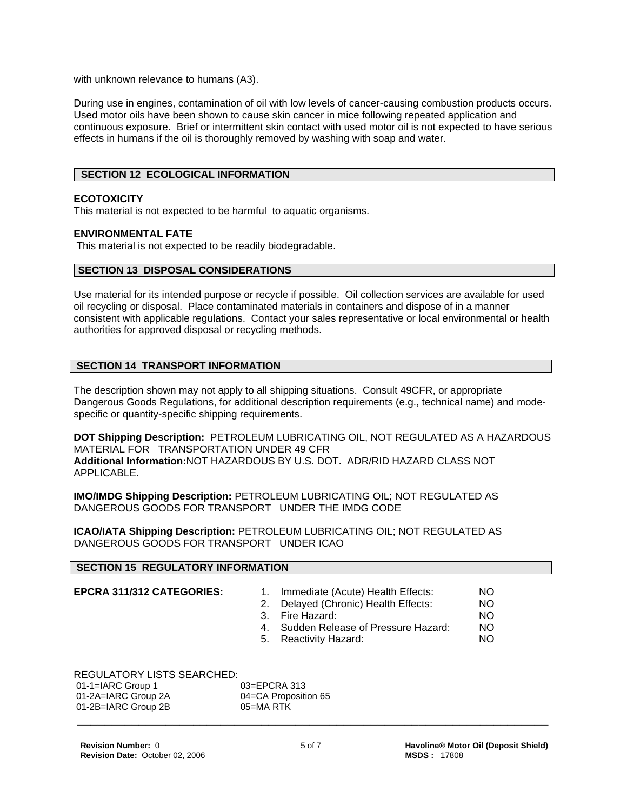with unknown relevance to humans (A3).

During use in engines, contamination of oil with low levels of cancer-causing combustion products occurs. Used motor oils have been shown to cause skin cancer in mice following repeated application and continuous exposure. Brief or intermittent skin contact with used motor oil is not expected to have serious effects in humans if the oil is thoroughly removed by washing with soap and water.

# **SECTION 12 ECOLOGICAL INFORMATION**

# **ECOTOXICITY**

This material is not expected to be harmful to aquatic organisms.

#### **ENVIRONMENTAL FATE**

This material is not expected to be readily biodegradable.

#### **SECTION 13 DISPOSAL CONSIDERATIONS**

Use material for its intended purpose or recycle if possible. Oil collection services are available for used oil recycling or disposal. Place contaminated materials in containers and dispose of in a manner consistent with applicable regulations. Contact your sales representative or local environmental or health authorities for approved disposal or recycling methods.

# **SECTION 14 TRANSPORT INFORMATION**

The description shown may not apply to all shipping situations. Consult 49CFR, or appropriate Dangerous Goods Regulations, for additional description requirements (e.g., technical name) and modespecific or quantity-specific shipping requirements.

**DOT Shipping Description:** PETROLEUM LUBRICATING OIL, NOT REGULATED AS A HAZARDOUS MATERIAL FOR TRANSPORTATION UNDER 49 CFR **Additional Information:**NOT HAZARDOUS BY U.S. DOT. ADR/RID HAZARD CLASS NOT APPLICABLE.

**IMO/IMDG Shipping Description:** PETROLEUM LUBRICATING OIL; NOT REGULATED AS DANGEROUS GOODS FOR TRANSPORT UNDER THE IMDG CODE

**ICAO/IATA Shipping Description:** PETROLEUM LUBRICATING OIL; NOT REGULATED AS DANGEROUS GOODS FOR TRANSPORT UNDER ICAO

#### **SECTION 15 REGULATORY INFORMATION**

- **EPCRA 311/312 CATEGORIES:** 1. Immediate (Acute) Health Effects: NO 2. Delayed (Chronic) Health Effects: NO
	- 3. Fire Hazard: NO
		-
	- 4. Sudden Release of Pressure Hazard: NO
	- 5. Reactivity Hazard: NO

REGULATORY LISTS SEARCHED:

| $01-1=IARC$ Group 1 | 03=EPCRA 313         |
|---------------------|----------------------|
| 01-2A=IARC Group 2A | 04=CA Proposition 65 |
| 01-2B=IARC Group 2B | 05=MA RTK            |
|                     |                      |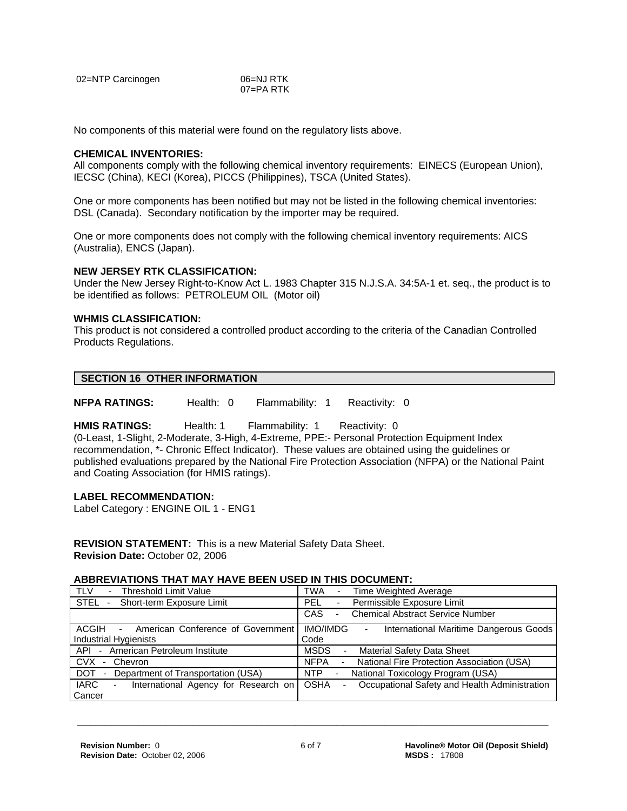| 02=NTP Carcinogen | 06=NJ RTK |
|-------------------|-----------|
|                   | 07=PA RTK |

No components of this material were found on the regulatory lists above.

#### **CHEMICAL INVENTORIES:**

All components comply with the following chemical inventory requirements: EINECS (European Union), IECSC (China), KECI (Korea), PICCS (Philippines), TSCA (United States).

One or more components has been notified but may not be listed in the following chemical inventories: DSL (Canada). Secondary notification by the importer may be required.

One or more components does not comply with the following chemical inventory requirements: AICS (Australia), ENCS (Japan).

#### **NEW JERSEY RTK CLASSIFICATION:**

Under the New Jersey Right-to-Know Act L. 1983 Chapter 315 N.J.S.A. 34:5A-1 et. seq., the product is to be identified as follows: PETROLEUM OIL (Motor oil)

#### **WHMIS CLASSIFICATION:**

This product is not considered a controlled product according to the criteria of the Canadian Controlled Products Regulations.

#### **SECTION 16 OTHER INFORMATION**

**NFPA RATINGS:** Health: 0 Flammability: 1 Reactivity: 0

**HMIS RATINGS:** Health: 1 Flammability: 1 Reactivity: 0

(0-Least, 1-Slight, 2-Moderate, 3-High, 4-Extreme, PPE:- Personal Protection Equipment Index recommendation, \*- Chronic Effect Indicator). These values are obtained using the guidelines or published evaluations prepared by the National Fire Protection Association (NFPA) or the National Paint and Coating Association (for HMIS ratings).

#### **LABEL RECOMMENDATION:**

Label Category : ENGINE OIL 1 - ENG1

**REVISION STATEMENT:** This is a new Material Safety Data Sheet. **Revision Date:** October 02, 2006

#### **ABBREVIATIONS THAT MAY HAVE BEEN USED IN THIS DOCUMENT:**

| - Threshold Limit Value<br>TLV                                               | <b>TWA</b><br>Time Weighted Average                                            |
|------------------------------------------------------------------------------|--------------------------------------------------------------------------------|
| STEL - Short-term Exposure Limit                                             | Permissible Exposure Limit<br>PEL.<br>$\blacksquare$                           |
|                                                                              | <b>Chemical Abstract Service Number</b><br>CAS<br>$\overline{\phantom{0}}$     |
| ACGIH<br>American Conference of Government<br>$\sim 100$                     | IMO/IMDG<br>International Maritime Dangerous Goods<br>Ξ.                       |
| <b>Industrial Hygienists</b>                                                 | Code                                                                           |
| American Petroleum Institute<br>API-                                         | <b>MSDS</b><br><b>Material Safety Data Sheet</b><br>$\overline{\phantom{a}}$   |
| <b>CVX</b><br>Chevron<br>$\sim$                                              | National Fire Protection Association (USA)<br><b>NFPA</b>                      |
| <b>DOT</b><br>Department of Transportation (USA)<br>$\overline{\phantom{a}}$ | National Toxicology Program (USA)<br>NTP<br>$\sim$                             |
| IARC<br>International Agency for Research on<br>$\sim$                       | <b>OSHA</b><br>Occupational Safety and Health Administration<br>$\blacksquare$ |
| Cancer                                                                       |                                                                                |